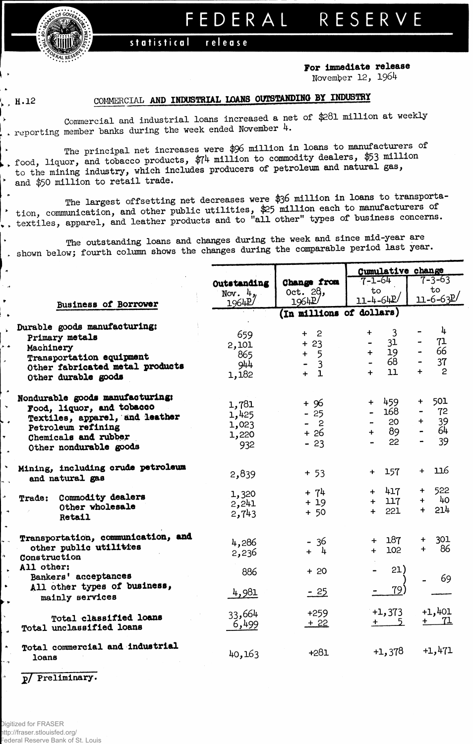## FEDERAL RESERVE

## statistical release

For immediate release November 12, 1964

 $, \ldots$ 

 $\sim$   $_{\rm H}$ 

 $\ddot{\phantom{1}}$ 

 $\ddot{\phantom{1}}$ . .  $\ddot{\phantom{1}}$ 

٠.

A  $\ddot{\phantom{0}}$ 

## COMMERCIAL AND INDUSTRIAL LOANS OUTSTANDING BY INDUSTRY

Commercial and industrial loans increased a net of \$281 million at weekly . reporting member banks during the week ended November 4.

The principal net increases were \$96 million in loans to manufacturers of , food, liquor, and tobacco products,  $\frac{2}{7}$  million to commodity dealers, \$53 million to the mining industry, which includes producers of petroleum and natural gas, and \$50 million to retail trade.

The largest offsetting net decreases were \$36 million in loans to transportation, communication, and other public utilities, \$25 million each to manufacturers of<br>, textiles, apparel, and leather products and to "all other" types of business concerns.

The outstanding loans and changes during the week and since mid-year are shown below; fourth column shows the changes during the comparable period last year.

|                                    |             |                          | Cumulative change |                   |  |  |  |
|------------------------------------|-------------|--------------------------|-------------------|-------------------|--|--|--|
|                                    | Outstanding | Change from              | $7 - 1 - 64$      | $7 - 3 - 63$      |  |  |  |
|                                    |             | Oct. 28,                 | to                | $\mathbf{t}$      |  |  |  |
|                                    | Nov. $4$ ,  |                          | $11 - 4 - 64P'$   | $11 - 6 - 63$     |  |  |  |
| Business of Borrower               | 1964P       | 19642'                   |                   |                   |  |  |  |
|                                    |             | (In millions of dollars) |                   |                   |  |  |  |
| Durable goods manufacturing:       |             |                          |                   |                   |  |  |  |
|                                    | 659         | $+2$                     | 3<br>$+$          | $-\frac{1}{2}$    |  |  |  |
| Primary metals                     |             | $+23$                    | 31                | 71                |  |  |  |
| Machinery                          | 2,101       |                          | 19<br>$+$         | 66                |  |  |  |
| Transportation equipment           | 865         | $+ 5$                    |                   |                   |  |  |  |
| Other fabricated metal products    | 944         | $\overline{3}$           | 68                | 37                |  |  |  |
| Other durable goods                | 1,182       | $+$ 1                    | 11<br>$+$         | 2<br>$+$          |  |  |  |
|                                    |             |                          |                   |                   |  |  |  |
| Nondurable goods manufacturing:    |             |                          |                   |                   |  |  |  |
|                                    | 1,781       | $+96$                    | + 459             | 501<br>$+$        |  |  |  |
| Food, liquor, and tobacco          | 1,425       | $-25$                    | 168               | 72                |  |  |  |
| Textiles, apparel, and leather     |             | $-2$                     | 20                | 39                |  |  |  |
| Petroleum refining                 | 1,023       | + 26                     | 89<br>$+$ $-$     | 64                |  |  |  |
| Chemicals and rubber               | 1,220       |                          | 22                | 39                |  |  |  |
| Other nondurable goods             | 932         | $-23$                    |                   |                   |  |  |  |
|                                    |             |                          |                   |                   |  |  |  |
| Mining, including crude petroleum  |             | $+ 53$                   | 157<br>$+$        | 116<br>$+$        |  |  |  |
| and natural gas                    | 2,839       |                          |                   |                   |  |  |  |
|                                    |             |                          | $+ 417$           | 522<br>$+$        |  |  |  |
| Commodity dealers<br><b>Trade:</b> | 1,320       | + 74                     |                   | - 40<br>$+$       |  |  |  |
| Other wholesale                    | 2,241       | $+19$                    | $+$ 117           |                   |  |  |  |
| Retail                             | 2,743       | $+ 50$                   | 221<br>$+$        | 214<br>$+$        |  |  |  |
|                                    |             |                          |                   |                   |  |  |  |
| Transportation, communication, and |             |                          |                   |                   |  |  |  |
| other public utilities             | 4,286       | $-36$                    | 187<br>$+$        | 301<br>$+$<br>-86 |  |  |  |
|                                    | 2,236       | + 4                      | 102<br>$+$        | $+$               |  |  |  |
| Construction                       |             |                          |                   |                   |  |  |  |
| All other:                         | 886         | $+20$                    | 21)               |                   |  |  |  |
| Bankers' acceptances               |             |                          |                   | 69                |  |  |  |
| All other types of business,       |             |                          | 79)               |                   |  |  |  |
| mainly services                    | 4,981       | $-25$                    |                   |                   |  |  |  |
|                                    |             |                          |                   | $+1,401$          |  |  |  |
| Total classified loans             | 33,664      | $+259$                   | $+1,373$          |                   |  |  |  |
| Total unclassified loans           | 6,499       | $+22$                    | $+$ 5             | <u>+ 71</u>       |  |  |  |
|                                    |             |                          |                   |                   |  |  |  |
| Total commercial and industrial    |             |                          |                   |                   |  |  |  |
|                                    | 40,163      | $+281$                   | $+1,378$          | $+1,471$          |  |  |  |
| loans                              |             |                          |                   |                   |  |  |  |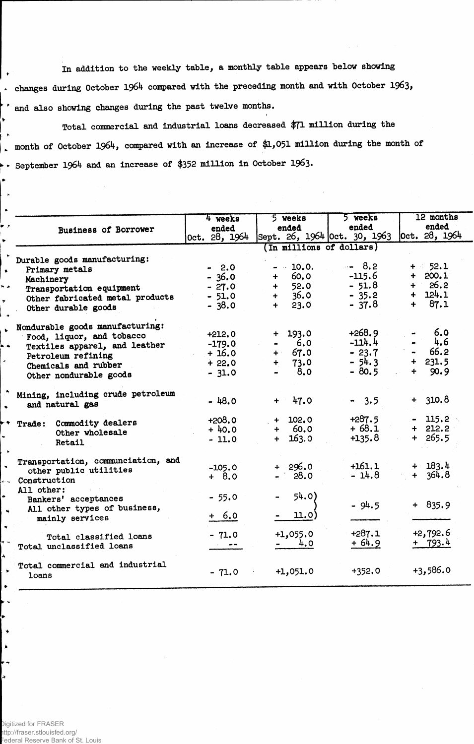In addition to the weekly table, a monthly table appears below showing  $\overline{\phantom{a}}$ . changes during October 1964 compared with the preceding month and with October 1963, ' and also showing changes during the past twelve months.

Total commercial and industrial loans decreased \$71 million during the . month of October 1964, compared with an increase of \$1,051 million during the month of  $\triangleright$   $\cdot$  September 1964 and an increase of \$352 million in October 1963.

| <b>Business of Borrower</b>        | 4 weeks<br>ended<br>Oct. 28, 1964 | 5 weeks<br>ended<br>Sept. 26, 1964 Oct. 30, 1963 | 5 weeks<br>ended    | 12 months<br>ended<br> 0ct. 28, 1964 |
|------------------------------------|-----------------------------------|--------------------------------------------------|---------------------|--------------------------------------|
|                                    |                                   | (In millions of dollars)                         |                     |                                      |
| Durable goods manufacturing:       |                                   |                                                  |                     |                                      |
| Primary metals                     | $-2.0$                            | $-10.0.$                                         | $-8.2$              | $+ 52.1$                             |
| Machinery                          | $-36.0$                           | 60.0<br>$+$ $-$                                  | $-115.6$            | $+ 200.1$                            |
| Transportation equipment           | $-27.0$                           | 52.0<br>$+$ $-$                                  | $-51.8$             | $+ 26.2$                             |
| Other fabricated metal products    | $-51.0$                           | 36.0<br>$+$                                      | $-35.2$             | $+ 124.1$                            |
| Other durable goods                | $-38.0$                           | 23.0<br>$+$ $-$                                  | $-37.8$             | $+ 87.1$                             |
| Nondurable goods manufacturing:    |                                   |                                                  |                     |                                      |
| Food, liquor, and tobacco          | $+212,0$                          | $+ 193.0$                                        | $+268.9$            | 6.0                                  |
| Textiles apparel, and leather      | $-179.0$                          | 6.0                                              | $-114.4$            | 4.6                                  |
| Petroleum refining                 | $+16.0$                           | $+ 67.0$                                         | $-23.7$             | 66.2                                 |
| Chemicals and rubber               | $+22.0$                           | 73.0<br>$+$                                      | $-54.3$             | $+ 231.5$                            |
| Other nondurable goods             | $-31.0$                           | 8.0                                              | $-80.5$             | 90.9<br>÷                            |
| Mining, including crude petroleum  | $-48.0$                           |                                                  |                     | 310.8<br>$+$                         |
| and natural gas                    |                                   | 47.0<br>$+$                                      | $-3.5$              |                                      |
| Commodity dealers<br>Trade:        | $+208.0$                          | $+ 102.0$                                        | $+287.5$            | $-115.2$                             |
| Other wholesale                    | $+40.0$                           | $+ 60.0$                                         | $+68.1$             | $+ 212.2$                            |
| Retail                             | $-11.0$                           | 163.0<br>$+$                                     | $+135.8$            | $+ 265.5$                            |
| Transportation, communciation, and |                                   |                                                  |                     |                                      |
| other public utilities             | $-105.0$                          | $+296.0$                                         | $+161.1$<br>$-14.8$ | $+ 183.4$<br>$+364.8$                |
| Construction                       | $+ 8.0$                           | $-28.0$                                          |                     |                                      |
| All other:                         |                                   |                                                  |                     |                                      |
| Bankers' acceptances               | $-55.0$                           | 54.0)                                            | $-94.5$             | $+ 835.9$                            |
| All other types of business,       |                                   |                                                  |                     |                                      |
| mainly services                    | $+ 6.0$                           | 11.0                                             |                     |                                      |
| Total classified loans             | $-71.0$                           | $+1,055.0$                                       | $+287.1$            | $+2,792.6$                           |
| Total unclassified loans           |                                   | 4.0                                              | $+64.9$             | + 793.4                              |
|                                    |                                   |                                                  |                     |                                      |
| Total commercial and industrial    | $-71.0$                           | $+1,051.0$                                       | $+352.0$            | $+3,586.0$                           |
| loans                              |                                   |                                                  |                     |                                      |

Digitized for FRASER ttp://fraser.stlouisfed.org/ ederal Reserve Bank of St. Louis

Ł

 $\ddot{\phantom{a}}$ 

۰,  $\blacktriangle$